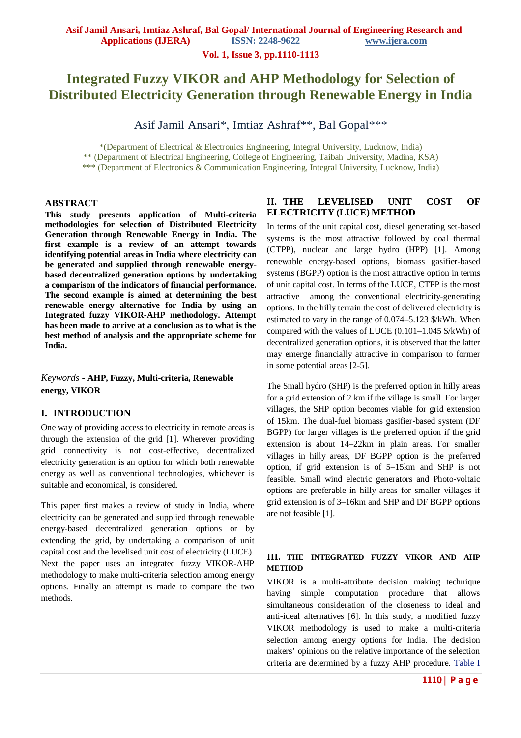**Vol. 1, Issue 3, pp.1110-1113**

# **Integrated Fuzzy VIKOR and AHP Methodology for Selection of Distributed Electricity Generation through Renewable Energy in India**

Asif Jamil Ansari\*, Imtiaz Ashraf\*\*, Bal Gopal\*\*\*

\*(Department of Electrical & Electronics Engineering, Integral University, Lucknow, India)

\*\* (Department of Electrical Engineering, College of Engineering, Taibah University, Madina, KSA)

\*\*\* (Department of Electronics & Communication Engineering, Integral University, Lucknow, India)

### **ABSTRACT**

**This study presents application of Multi-criteria methodologies for selection of Distributed Electricity Generation through Renewable Energy in India. The first example is a review of an attempt towards identifying potential areas in India where electricity can be generated and supplied through renewable energybased decentralized generation options by undertaking a comparison of the indicators of financial performance. The second example is aimed at determining the best renewable energy alternative for India by using an Integrated fuzzy VIKOR-AHP methodology. Attempt has been made to arrive at a conclusion as to what is the best method of analysis and the appropriate scheme for India.**

# *Keywords* **- AHP, Fuzzy, Multi-criteria, Renewable energy, VIKOR**

# **I. INTRODUCTION**

One way of providing access to electricity in remote areas is through the extension of the grid [1]. Wherever providing grid connectivity is not cost-effective, decentralized electricity generation is an option for which both renewable energy as well as conventional technologies, whichever is suitable and economical, is considered.

This paper first makes a review of study in India, where electricity can be generated and supplied through renewable energy-based decentralized generation options or by extending the grid, by undertaking a comparison of unit capital cost and the levelised unit cost of electricity (LUCE). Next the paper uses an integrated fuzzy VIKOR-AHP methodology to make multi-criteria selection among energy options. Finally an attempt is made to compare the two methods.

# **II. THE LEVELISED UNIT COST OF ELECTRICITY (LUCE) METHOD**

In terms of the unit capital cost, diesel generating set-based systems is the most attractive followed by coal thermal (CTPP), nuclear and large hydro (HPP) [1]. Among renewable energy-based options, biomass gasifier-based systems (BGPP) option is the most attractive option in terms of unit capital cost. In terms of the LUCE, CTPP is the most attractive among the conventional electricity-generating options. In the hilly terrain the cost of delivered electricity is estimated to vary in the range of 0.074–5.123 \$/kWh. When compared with the values of LUCE (0.101–1.045 \$/kWh) of decentralized generation options, it is observed that the latter may emerge financially attractive in comparison to former in some potential areas [2-5].

The Small hydro (SHP) is the preferred option in hilly areas for a grid extension of 2 km if the village is small. For larger villages, the SHP option becomes viable for grid extension of 15km. The dual-fuel biomass gasifier-based system (DF BGPP) for larger villages is the preferred option if the grid extension is about 14–22km in plain areas. For smaller villages in hilly areas, DF BGPP option is the preferred option, if grid extension is of 5–15km and SHP is not feasible. Small wind electric generators and Photo-voltaic options are preferable in hilly areas for smaller villages if grid extension is of 3–16km and SHP and DF BGPP options are not feasible [1].

# **III. THE INTEGRATED FUZZY VIKOR AND AHP METHOD**

VIKOR is a multi-attribute decision making technique having simple computation procedure that allows simultaneous consideration of the closeness to ideal and anti-ideal alternatives [6]. In this study, a modified fuzzy VIKOR methodology is used to make a multi-criteria selection among energy options for India. The decision makers' opinions on the relative importance of the selection criteria are determined by a fuzzy AHP procedure. Table I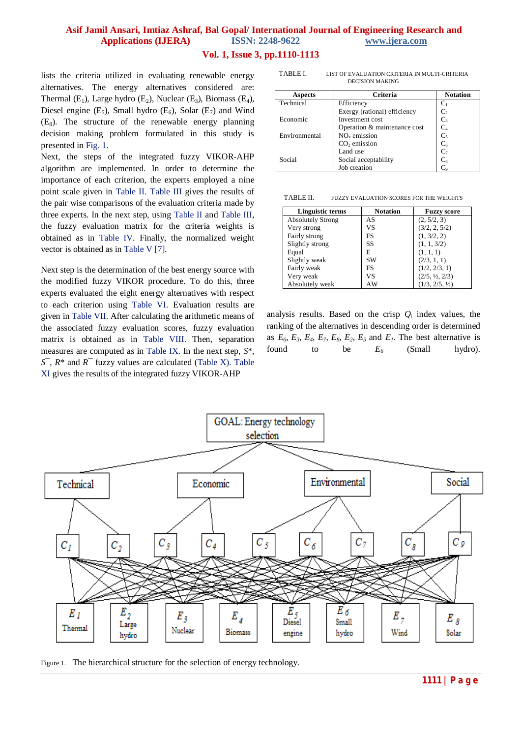# **Asif Jamil Ansari, Imtiaz Ashraf, Bal Gopal/ International Journal of Engineering Research and Applications (IJERA) ISSN: 2248-9622 www.ijera.com**

# **Vol. 1, Issue 3, pp.1110-1113**

lists the criteria utilized in evaluating renewable energy alternatives. The energy alternatives considered are: Thermal  $(E_1)$ , Large hydro  $(E_2)$ , Nuclear  $(E_3)$ , Biomass  $(E_4)$ , Diesel engine  $(E_5)$ , Small hydro  $(E_6)$ , Solar  $(E_7)$  and Wind  $(E_8)$ . The structure of the renewable energy planning decision making problem formulated in this study is presented in Fig. 1.

Next, the steps of the integrated fuzzy VIKOR-AHP algorithm are implemented. In order to determine the importance of each criterion, the experts employed a nine point scale given in Table II. Table III gives the results of the pair wise comparisons of the evaluation criteria made by three experts. In the next step, using Table II and Table III, the fuzzy evaluation matrix for the criteria weights is obtained as in Table IV. Finally, the normalized weight vector is obtained as in Table V [7].

Next step is the determination of the best energy source with the modified fuzzy VIKOR procedure. To do this, three experts evaluated the eight energy alternatives with respect to each criterion using Table VI. Evaluation results are given in Table VII. After calculating the arithmetic means of the associated fuzzy evaluation scores, fuzzy evaluation matrix is obtained as in Table VIII. Then, separation measures are computed as in Table IX. In the next step, *S*\*, *S*¯, *R*\* and *R*¯ fuzzy values are calculated (Table X). Table XI gives the results of the integrated fuzzy VIKOR-AHP

TABLE I. LIST OF EVALUATION CRITERIA IN MULTI-CRITERIA DECISION MAKING

| <b>Aspects</b> | <b>Criteria</b>              | <b>Notation</b> |
|----------------|------------------------------|-----------------|
| Technical      | Efficiency                   | Cı              |
|                | Exergy (rational) efficiency | C <sub>2</sub>  |
| Economic       | Investment cost              | $C_3$           |
|                | Operation & maintenance cost | C <sub>4</sub>  |
| Environmental  | $NOx$ emission               | C <sub>5</sub>  |
|                | $CO2$ emission               | C <sub>6</sub>  |
|                | Land use                     | $C_7$           |
| Social         | Social acceptability         | $C_8$           |
|                | Job creation                 |                 |

TABLE II. FUZZY EVALUATION SCORES FOR THE WEIGHTS

| Linguistic terms         | <b>Notation</b> | <b>Fuzzy score</b>        |
|--------------------------|-----------------|---------------------------|
| <b>Absolutely Strong</b> | AS              | (2, 5/2, 3)               |
| Very strong              | VS              | (3/2, 2, 5/2)             |
| Fairly strong            | FS              | (1, 3/2, 2)               |
| Slightly strong          | SS              | (1, 1, 3/2)               |
| Equal                    | E               | (1, 1, 1)                 |
| Slightly weak            | <b>SW</b>       | (2/3, 1, 1)               |
| Fairly weak              | FS              | (1/2, 2/3, 1)             |
| Very weak                | VS              | $(2/5, \frac{1}{2}, 2/3)$ |
| Absolutely weak          | AW              | (1/3, 2/5, 1/2)           |

analysis results. Based on the crisp  $Q_i$  index values, the ranking of the alternatives in descending order is determined as  $E_6$ ,  $E_3$ ,  $E_4$ ,  $E_7$ ,  $E_8$ ,  $E_2$ ,  $E_5$  and  $E_1$ . The best alternative is found to be *E<sup>6</sup>* (Small hydro).



Figure 1. The hierarchical structure for the selection of energy technology.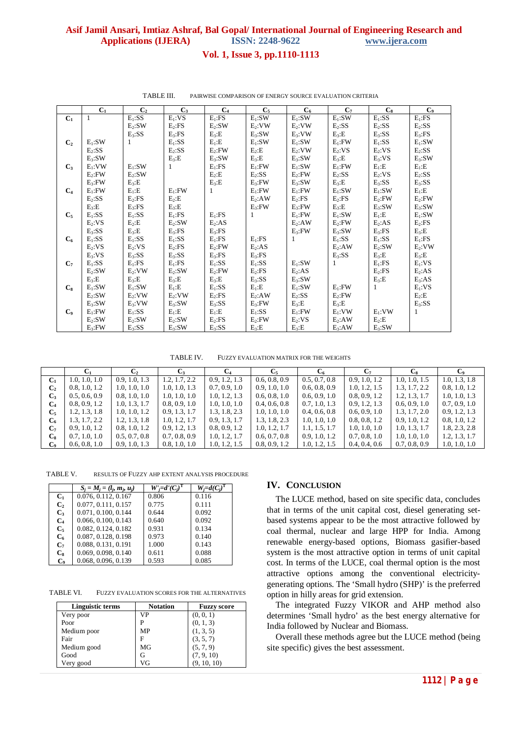#### Asif Jamil Ansari, Imtiaz Ashraf, Bal Gopal/International Journal of Engineering Research and **Applications (IJERA) ISSN: 2248-9622** www.ijera.com

### Vol. 1, Issue 3, pp.1110-1113

|                | $C_1$        | C <sub>2</sub> | $C_3$      | $C_4$      | $C_5$        | $C_6$        | $C_7$      | $C_8$         | C <sub>9</sub> |
|----------------|--------------|----------------|------------|------------|--------------|--------------|------------|---------------|----------------|
| $C_1$          | 1            | $E_1$ :SS      | $E_1:VS$   | $E_1$ :FS  | $E_1:SW$     | $E_1:SW$     | $E_1:SW$   | $E_1$ :SS     | $E_1$ :FS      |
|                |              | $E_2$ :SW      | $E_2$ :FS  | $E_2$ :SW  | $E_2: VW$    | $E_2: VW$    | $E_2$ :SS  | $E_2$ :SS     | $E_2$ :SS      |
|                |              | $E_3:SS$       | $E_3$ :FS  | $E_3:E$    | $E_3:SW$     | $E_3: VW$    | $E_3:E$    | $E_3:SS$      | $E_3$ :FS      |
| C <sub>2</sub> | $E_1:SW$     | 1              | $E_1$ :SS  | $E_1:E$    | $E_1:SW$     | $E_1:SW$     | $E_1$ :FW  | $E_1$ :SS     | $E_1:SW$       |
|                | $E_2$ :SS    |                | $E_2$ :SS  | $E_2$ : FW | $E_2$ : $E$  | $E_2: VW$    | $E_2:VS$   | $E_2:VS$      | $E_2$ :SS      |
|                | $E_3:SW$     |                | $E_3:E$    | $E_3:SW$   | $E_3:E$      | $E_3:SW$     | $E_3:E$    | $E_3:VS$      | $E_3:SW$       |
| $C_3$          | $E_1: VW$    | $E_1:SW$       | 1          | $E_1$ :FS  | $E_1$ : FW   | $E_1:SW$     | $E_1$ : FW | $E_1$ :E      | $E_1:E$        |
|                | $E_{2}$ : FW | $E_2$ :SW      |            | $E_2:E$    | $E_2$ :SS    | $E_2$ : FW   | $E_2$ :SS  | $E_2:VS$      | $E_2$ :SS      |
|                | $E_3$ : FW   | $E_3:E$        |            | $E_3:E$    | $E_3$ : FW   | $E_3:SW$     | $E_3:E$    | $E_3:SS$      | $E_3:SS$       |
| C <sub>4</sub> | $E_1$ : FW   | $E_1:E$        | $E_1$ : FW | 1          | $E_1$ : FW   | $E_1$ :FW    | $E_1:SW$   | $E_1:SW$      | $E_1:E$        |
|                | $E_2$ :SS    | $E_2$ :FS      | $E_2:E$    |            | $E_2$ :AW    | $E_2$ :FS    | $E_2$ :FS  | $E_2$ : FW    | $E_2$ : FW     |
|                | $E_3:E$      | $E_3$ :FS      | $E_3:E$    |            | $E_3$ : $FW$ | $E_3$ : FW   | $E_3:E$    | $E_3:SW$      | $E_3:SW$       |
| $C_5$          | $E_1$ :SS    | $E_1$ :SS      | $E_1$ :FS  | $E_1$ :FS  | 1            | $E_1$ : FW   | $E_1:SW$   | $E_1$ : $E_1$ | $E_1$ :SW      |
|                | $E_2:VS$     | $E_2:E$        | $E_2$ :SW  | $E_2:AS$   |              | $E_2$ :AW    | $E_2$ : FW | $E_2:AS$      | $E_2$ :FS      |
|                | $E_3:SS$     | $E_3:E$        | $E_3$ :FS  | $E_3$ :FS  |              | $E_3$ :FW    | $E_3:SW$   | $E_3$ :FS     | $E_3:E$        |
| $C_6$          | $E_1$ :SS    | $E_1$ :SS      | $E_1$ :SS  | $E_1$ :FS  | $E_1$ :FS    | $\mathbf{1}$ | $E_1$ :SS  | $E_1$ :SS     | $E_1$ :FS      |
|                | $E_2:VS$     | $E_2:VS$       | $E_2$ :FS  | $E_2$ : FW | $E_2:AS$     |              | $E_2$ :AW  | $E_2:SW$      | $E_2: VW$      |
|                | $E_3:VS$     | $E_3:SS$       | $E_3:SS$   | $E_3$ :FS  | $E_3:FS$     |              | $E_3:SS$   | $E_3:E$       | $E_3:E$        |
| $C_7$          | $E_1$ :SS    | $E_1$ :FS      | $E_1$ :FS  | $E_1$ :SS  | $E_1$ :SS    | $E_1:SW$     | 1          | $E_1$ :FS     | $E_1:VS$       |
|                | $E_2$ :SW    | $E_2: VW$      | $E_2$ :SW  | $E_2$ :FW  | $E_2$ :FS    | $E_2:AS$     |            | $E_2$ :FS     | $E_2:AS$       |
|                | $E_3:E$      | $E_3:E$        | $E_3:E$    | $E_3:E$    | $E_3:SS$     | $E_3:SW$     |            | $E_3:E$       | $E_3:AS$       |
| $C_8$          | $E_1:SW$     | $E_1:SW$       | $E_1:E$    | $E_1$ :SS  | $E_1:E$      | $E_1:SW$     | $E_1$ : FW | 1             | $E_1:VS$       |
|                | $E_2$ :SW    | $E_2: VW$      | $E_2: VW$  | $E_2$ :FS  | $E_2$ :AW    | $E_2$ :SS    | $E_2$ : FW |               | $E_2:E$        |
|                | $E_3:SW$     | $E_3: VW$      | $E_3:SW$   | $E_3:SS$   | $E_3$ : FW   | $E_3:E$      | $E_3:E$    |               | $E_3$ :SS      |
| C <sub>9</sub> | $E_1$ : FW   | $E_1$ :SS      | $E_1:E$    | $E_1:E$    | $E_1$ :SS    | $E_1$ : FW   | $E_1: VW$  | $E_1: VW$     | 1              |
|                | $E_2$ :SW    | $E_2$ :SW      | $E_2$ :SW  | $E_2$ :FS  | $E_2$ : FW   | $E_2:VS$     | $E_2$ :AW  | $E_2:E$       |                |
|                | $E_3$ : FW   | $E_3:SS$       | $E_3:SW$   | $E_3:SS$   | $E_3:E$      | $E_3:E$      | $E_3:AW$   | $E_3:SW$      |                |

TABLE III. PAIRWISE COMPARISON OF ENERGY SOURCE EVALUATION CRITERIA

TABLE IV. FUZZY EVALUATION MATRIX FOR THE WEIGHTS

|                |               | $\mathbf{C}_2$ | C3            |               |               |               |               | Cs.           | C,            |
|----------------|---------------|----------------|---------------|---------------|---------------|---------------|---------------|---------------|---------------|
| C <sub>1</sub> | 1.0, 1.0, 1.0 | 0.9, 1.0, 1.3  | 1.2, 1.7, 2.2 | 0.9, 1.2, 1.3 | 0.6, 0.8, 0.9 | 0.5, 0.7, 0.8 | 0.9, 1.0, 1.2 | 1.0, 1.0, 1.5 | 1.0, 1.3, 1.8 |
| C <sub>2</sub> | 0.8, 1.0, 1.2 | 1.0, 1.0, 1.0  | 1.0, 1.0, 1.3 | 0.7, 0.9, 1.0 | 0.9, 1.0, 1.0 | 0.6, 0.8, 0.9 | 1.0, 1.2, 1.5 | 1.3, 1.7, 2.2 | 0.8, 1.0, 1.2 |
| $C_{3}$        | 0.5, 0.6, 0.9 | 0.8, 1.0, 1.0  | 1.0, 1.0, 1.0 | 1.0, 1.2, 1.3 | 0.6, 0.8, 1.0 | 0.6, 0.9, 1.0 | 0.8, 0.9, 1.2 | 1.2, 1.3, 1.7 | 1.0, 1.0, 1.3 |
| $C_4$          | 0.8, 0.9, 1.2 | 1.0, 1.3, 1.7  | 0.8, 0.9, 1.0 | 1.0, 1.0, 1.0 | 0.4, 0.6, 0.8 | 0.7, 1.0, 1.3 | 0.9, 1.2, 1.3 | 0.6, 0.9, 1.0 | 0.7, 0.9, 1.0 |
| $C_5$          | 1.2, 1.3, 1.8 | 1.0, 1.0, 1.2  | 0.9, 1.3, 1.7 | 1.3, 1.8, 2.3 | 1.0, 1.0, 1.0 | 0.4, 0.6, 0.8 | 0.6, 0.9, 1.0 | 1.3, 1.7, 2.0 | 0.9, 1.2, 1.3 |
| $C_6$          | 1.3, 1.7, 2.2 | 1.2, 1.3, 1.8  | 1.0, 1.2, 1.7 | 0.9, 1.3, 1.7 | 1.3, 1.8, 2.3 | 1.0, 1.0, 1.0 | 0.8, 0.8, 1.2 | 0.9, 1.0, 1.2 | 0.8, 1.0, 1.2 |
| $C_{7}$        | 0.9, 1.0, 1.2 | 0.8, 1.0, 1.2  | 0.9, 1.2, 1.3 | 0.8, 0.9, 1.2 | 1.0, 1.2, 1.7 | 1.1, 1.5, 1.7 | 1.0, 1.0, 1.0 | 1.0, 1.3, 1.7 | 1.8, 2.3, 2.8 |
| $C_{8}$        | 0.7, 1.0, 1.0 | 0.5, 0.7, 0.8  | 0.7, 0.8, 0.9 | 1.0, 1.2, 1.7 | 0.6, 0.7, 0.8 | 0.9, 1.0, 1.2 | 0.7, 0.8, 1.0 | 1.0, 1.0, 1.0 | 1.2, 1.3, 1.7 |
| C.             | 0.6, 0.8, 1.0 | 0.9, 1.0, 1.3  | 0.8, 1.0, 1.0 | 1.0, 1.2, 1.5 | 0.8, 0.9, 1.2 | 1.0, 1.2, 1.5 | 0.4, 0.4, 0.6 | 0.7, 0.8, 0.9 | 1.0, 1.0, 1.0 |
|                |               |                |               |               |               |               |               |               |               |

TABLE V. RESULTS OF FUZZY AHP EXTENT ANALYSIS PROCEDURE

|                | $S_i = M_i = (l_i, m_i, u_i)$ | $W'_{i} = d'(C_{i})$ | $W_i = d(C_i)$ |
|----------------|-------------------------------|----------------------|----------------|
| $C_{1}$        | 0.076, 0.112, 0.167           | 0.806                | 0.116          |
| $C_{2}$        | 0.077, 0.111, 0.157           | 0.775                | 0.111          |
| $C_{3}$        | 0.071, 0.100, 0.144           | 0.644                | 0.092          |
| C <sub>4</sub> | 0.066, 0.100, 0.143           | 0.640                | 0.092          |
| $C_5$          | 0.082, 0.124, 0.182           | 0.931                | 0.134          |
| $C_6$          | 0.087, 0.128, 0.198           | 0.973                | 0.140          |
| $C_7$          | 0.088, 0.131, 0.191           | 1.000                | 0.143          |
| $\mathbf{C}_8$ | 0.069, 0.098, 0.140           | 0.611                | 0.088          |
| $\mathbf{C}_9$ | 0.068, 0.096, 0.139           | 0.593                | 0.085          |

TARI F VI FUZZY EVALUATION SCORES FOR THE ALTERNATIVES

| <b>Linguistic terms</b> | <b>Notation</b> | <b>Fuzzy score</b> |
|-------------------------|-----------------|--------------------|
| Very poor               | VP              | (0, 0, 1)          |
| Poor                    | D               | (0, 1, 3)          |
| Medium poor             | МP              | (1, 3, 5)          |
| Fair                    |                 | (3, 5, 7)          |
| Medium good             | MG              | (5, 7, 9)          |
| Good                    |                 | (7, 9, 10)         |
| Very good               | VG              | (9, 10, 10)        |

### **IV. CONCLUSION**

The LUCE method, based on site specific data, concludes that in terms of the unit capital cost, diesel generating setbased systems appear to be the most attractive followed by coal thermal, nuclear and large HPP for India. Among renewable energy-based options, Biomass gasifier-based system is the most attractive option in terms of unit capital cost. In terms of the LUCE, coal thermal option is the most attractive options among the conventional electricitygenerating options. The 'Small hydro (SHP)' is the preferred option in hilly areas for grid extension.

The integrated Fuzzy VIKOR and AHP method also determines 'Small hydro' as the best energy alternative for India followed by Nuclear and Biomass.

Overall these methods agree but the LUCE method (being site specific) gives the best assessment.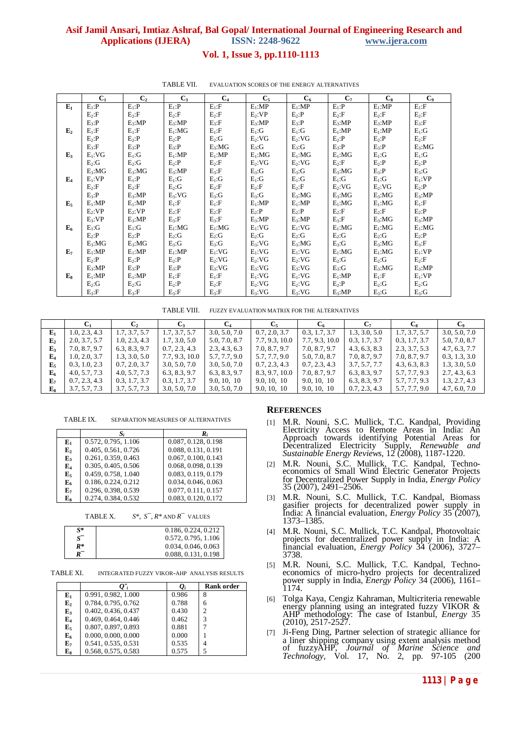# **Asif Jamil Ansari, Imtiaz Ashraf, Bal Gopal/ International Journal of Engineering Research and Applications (IJERA) ISSN: 2248-9622 www.ijera.com**

## **Vol. 1, Issue 3, pp.1110-1113**

|       | C <sub>1</sub> | C <sub>2</sub> | $C_{3}$     | $C_4$     | $C_5$       | $C_6$       | $C_7$       | $C_8$       | $\mathbf{C}_9$ |
|-------|----------------|----------------|-------------|-----------|-------------|-------------|-------------|-------------|----------------|
| $E_1$ | $E_1$ : $P$    | $E_1$ : $P$    | $E_1$ : $P$ | $E_1$ :F  | $E_1$ :MP   | $E_1$ :MP   | $E_1$ : $P$ | $E_1$ :MP   | $E_1$ :F       |
|       | $E_2$ :F       | $E_2$ :F       | $E_2$ :F    | $E_2$ :F  | $E_2:VP$    | $E_2$ : $P$ | $E_2$ :F    | $E_2$ :F    | $E_2$ :F       |
|       | $E_3$ :P       | $E_3$ :MP      | $E_3$ :MP   | $E_3$ :F  | $E_3$ :MP   | $E_3$ : $P$ | $E_3$ :MP   | $E_3$ :MP   | $E_3$ :F       |
| $E_2$ | $E_1$ :F       | $E_1$ :F       | $E_1$ :MG   | $E_1$ :F  | $E_1:G$     | $E_1:G$     | $E_1$ :MP   | $E_1$ :MP   | $E_1:G$        |
|       | $E_2$ : $P$    | $E_2$ :P       | $E_2$ : $P$ | $E_2:G$   | $E_2:VG$    | $E_2:VG$    | $E_2$ :P    | $E_2$ : $P$ | $E_2$ :F       |
|       | $E_3$ :F       | $E_3$ : $P$    | $E_3$ : $P$ | $E_3:MG$  | $E_3:G$     | $E_3:G$     | $E_3$ :P    | $E_3$ : $P$ | $E_3:MG$       |
| $E_3$ | $E_1:VG$       | $E_1:G$        | $E_1$ :MP   | $E_1$ :MP | $E_1$ :MG   | $E_1$ :MG   | $E_1$ :MG   | $E_1:G$     | $E_1:G$        |
|       | $E_2:G$        | $E_2:G$        | $E_2$ :P    | $E_2$ :F  | $E_2:VG$    | $E_2:VG$    | $E_2$ :F    | $E_2$ :P    | $E_2$ :P       |
|       | $E_3:MG$       | $E_3:MG$       | $E_3$ :MP   | $E_3$ :F  | $E_3:G$     | $E_3:G$     | $E_3:MG$    | $E_3$ : $P$ | $E_3:G$        |
| $E_4$ | $E_1:VP$       | $E_1$ :P       | $E_1:G$     | $E_1:G$   | $E_1:G$     | $E_1:G$     | $E_1:G$     | $E_1:G$     | $E_1:VP$       |
|       | $E_2$ :F       | $E_2$ :F       | $E_2:G$     | $E_2$ :F  | $E_2$ :F    | $E_2$ :F    | $E_2:VG$    | $E_2:VG$    | $E_2$ :P       |
|       | $E_3$ :P       | $E_3$ :MP      | $E_3:VG$    | $E_3:G$   | $E_3:G$     | $E_3:MG$    | $E_3:MG$    | $E_3:MG$    | $E_3$ :MP      |
| $E_5$ | $E_1$ :MP      | $E_1$ :MP      | $E_1$ :F    | $E_1$ :F  | $E_1$ :MP   | $E_1$ :MP   | $E_1$ :MG   | $E_1$ :MG   | $E_1$ :F       |
|       | $E_2:VP$       | $E_2$ :VP      | $E_2$ :F    | $E_2$ :F  | $E_2$ : $P$ | $E_2$ : $P$ | $E_2$ :F    | $E_2$ :F    | $E_2$ :P       |
|       | $E_3:VP$       | $E_3$ :MP      | $E_3$ :F    | $E_3$ :F  | $E_3$ :MP   | $E_3$ :MP   | $E_3$ :F    | $E_3:MG$    | $E_3$ :MP      |
| $E_6$ | $E_1:G$        | $E_1:G$        | $E_1$ :MG   | $E_1$ :MG | $E_1:VG$    | $E_1:VG$    | $E_1$ :MG   | $E_1$ :MG   | $E_1$ :MG      |
|       | $E_2$ : $P$    | $E_2$ :P       | $E_2:G$     | $E_2:G$   | $E_2:G$     | $E_2:G$     | $E_2:G$     | $E_2:G$     | $E_2$ : $P$    |
|       | $E_3:MG$       | $E_3:MG$       | $E_3:G$     | $E_3:G$   | $E_3:VG$    | $E_3:MG$    | $E_3:G$     | $E_3:MG$    | $E_3$ :F       |
| $E_7$ | $E_1$ :MP      | $E_1$ :MP      | $E_1$ :MP   | $E_1:VG$  | $E_1:VG$    | $E_1:VG$    | $E_1$ :MG   | $E_1$ :MG   | $E_1:VP$       |
|       | $E_2$ : $P$    | $E_2$ : $P$    | $E_2$ : $P$ | $E_2:VG$  | $E_2:VG$    | $E_2$ :VG   | $E_2:G$     | $E_2:G$     | $E_2$ :F       |
|       | $E_3$ :MP      | $E_3$ : $P$    | $E_3$ : $P$ | $E_3:VG$  | $E_3:VG$    | $E_3:VG$    | $E_3:G$     | $E_3:MG$    | $E_3$ :MP      |
| $E_8$ | $E_1$ :MP      | $E_1$ :MP      | $E_1$ :F    | $E_1$ :F  | $E_1:VG$    | $E_1:VG$    | $E_1$ :MP   | $E_1$ :F    | $E_1:VP$       |
|       | $E_2:G$        | $E_2:G$        | $E_2$ :P    | $E_2$ :F  | $E_2:VG$    | $E_2:VG$    | $E_2$ :P    | $E_2:G$     | $E_2:G$        |
|       | $E_3$ :F       | $E_3$ :F       | $E_3$ :F    | $E_3$ :F  | $E_3:VG$    | $E_3:VG$    | $E_3:MP$    | $E_3:G$     | $E_3:G$        |

#### TABLE VII. EVALUATION SCORES OF THE ENERGY ALTERNATIVES

TABLE VIII. FUZZY EVALUATION MATRIX FOR THE ALTERNATIVES

|                  |               |               | C <sub>3</sub> | $C_4$         | $C_5$          |                |               | $C_{8}$       |               |
|------------------|---------------|---------------|----------------|---------------|----------------|----------------|---------------|---------------|---------------|
| $E_1$            | 1.0, 2.3, 4.3 | 1.7, 3.7, 5.7 | 1.7, 3.7, 5.7  | 3.0, 5.0, 7.0 | 0.7, 2.0, 3.7  | 0.3, 1.7, 3.7  | 1.3, 3.0, 5.0 | 1.7, 3.7, 5.7 | 3.0, 5.0, 7.0 |
| $\mathbf{E}_{2}$ | 2.0, 3.7, 5.7 | 1.0, 2.3, 4.3 | 1.7, 3.0, 5.0  | 5.0, 7.0, 8.7 | 7.7, 9.3, 10.0 | 7.7, 9.3, 10.0 | 0.3, 1.7, 3.7 | 0.3, 1.7, 3.7 | 5.0, 7.0, 8.7 |
| E <sub>3</sub>   | 7.0, 8.7, 9.7 | 6.3, 8.3, 9.7 | 0.7, 2.3, 4.3  | 2.3, 4.3, 6.3 | 7.0, 8.7, 9.7  | 7.0, 8.7, 9.7  | 4.3, 6.3, 8.3 | 2.3, 3.7, 5.3 | 4.7, 6.3, 7.7 |
| $E_4$            | 1.0, 2.0, 3.7 | 1.3, 3.0, 5.0 | 7.7, 9.3, 10.0 | 5.7, 7.7, 9.0 | 5.7, 7.7, 9.0  | 5.0, 7.0, 8.7  | 7.0, 8.7, 9.7 | 7.0, 8.7, 9.7 | 0.3, 1.3, 3.0 |
| $\mathbf{E}$     | 0.3, 1.0, 2.3 | 0.7, 2.0, 3.7 | 3.0, 5.0, 7.0  | 3.0, 5.0, 7.0 | 0.7, 2.3, 4.3  | 0.7, 2.3, 4.3  | 3.7, 5.7, 7.7 | 4.3, 6.3, 8.3 | 1.3, 3.0, 5.0 |
| $E_6$            | 4.0, 5.7, 7.3 | 4.0, 5.7, 7.3 | 6.3, 8.3, 9.7  | 6.3, 8.3, 9.7 | 8.3, 9.7, 10.0 | 7.0, 8.7, 9.7  | 6.3, 8.3, 9.7 | 5.7, 7.7, 9.3 | 2.7, 4.3, 6.3 |
| $E_7$            | 0.7, 2.3, 4.3 | 0.3, 1.7, 3.7 | 0.3, 1.7, 3.7  | 9.0, 10, 10   | 9.0, 10, 10    | 9.0, 10, 10    | 6.3, 8.3, 9.7 | 5.7, 7.7, 9.3 | 1.3, 2.7, 4.3 |
| $E_8$            | 3.7, 5.7, 7.3 | 3.7, 5.7, 7.3 | 3.0, 5.0, 7.0  | 3.0, 5.0, 7.0 | 9.0, 10, 10    | 9.0, 10, 10    | 0.7, 2.3, 4.3 | 5.7, 7.7, 9.0 | 4.7, 6.0, 7.0 |

TABLE IX. SEPARATION MEASURES OF ALTERNATIVES

|                | S,                  | R,                  |
|----------------|---------------------|---------------------|
| ${\bf E}_1$    | 0.572, 0.795, 1.106 | 0.087, 0.128, 0.198 |
| E <sub>2</sub> | 0.405, 0.561, 0.726 | 0.088, 0.131, 0.191 |
| $E_3$          | 0.261, 0.359, 0.463 | 0.067, 0.100, 0.143 |
| $E_4$          | 0.305, 0.405, 0.506 | 0.068, 0.098, 0.139 |
| $E_5$          | 0.459, 0.758, 1.040 | 0.083, 0.119, 0.179 |
| $E_6$          | 0.186, 0.224, 0.212 | 0.034, 0.046, 0.063 |
| $E_7$          | 0.296, 0.398, 0.539 | 0.077, 0.111, 0.157 |
| ${\bf E_8}$    | 0.274, 0.384, 0.532 | 0.083, 0.120, 0.172 |
|                |                     |                     |

TABLE X. *S*\*, *S*¯, *R*\* AND *R*¯ VALUES

| $\mathbf{S}^*$ | 0.186, 0.224, 0.212 |
|----------------|---------------------|
|                | 0.572, 0.795, 1.106 |
| R*             | 0.034, 0.046, 0.063 |
|                | 0.088, 0.131, 0.198 |

TABLE XI. INTEGRATED FUZZY VIKOR-AHP ANALYSIS RESULTS

|                |                     | $\varrho_{\scriptscriptstyle i}$ | <b>Rank order</b> |
|----------------|---------------------|----------------------------------|-------------------|
| ${\bf E_1}$    | 0.991, 0.982, 1.000 | 0.986                            | 8                 |
| E <sub>2</sub> | 0.784, 0.795, 0.762 | 0.788                            | 6                 |
| $E_3$          | 0.402, 0.436, 0.437 | 0.430                            | っ                 |
| $\mathbf{E}_4$ | 0.469, 0.464, 0.446 | 0.462                            | 3                 |
| E <sub>5</sub> | 0.807, 0.897, 0.893 | 0.881                            |                   |
| $E_6$          | 0.000, 0.000, 0.000 | 0.000                            |                   |
| $E_7$          | 0.541, 0.535, 0.531 | 0.535                            |                   |
| ${\bf E_8}$    | 0.568, 0.575, 0.583 | 0.575                            |                   |

### **REFERENCES**

- [1] M.R. Nouni, S.C. Mullick, T.C. Kandpal, Providing Electricity Access to Remote Areas in India: An Approach towards identifying Potential Areas for Decentralized Electricity Supply, *Renewable and Sustainable Energy Reviews*, 12 (2008), 1187-1220.
- [2] M.R. Nouni, S.C. Mullick, T.C. Kandpal, Technoeconomics of Small Wind Electric Generator Projects for Decentralized Power Supply in India, *Energy Policy* 35 (2007), 2491–2506.
- [3] M.R. Nouni, S.C. Mullick, T.C. Kandpal, Biomass gasifier projects for decentralized power supply in India: A financial evaluation, *Energy Policy* 35 (2007), 1373–1385.
- [4] M.R. Nouni, S.C. Mullick, T.C. Kandpal, Photovoltaic projects for decentralized power supply in India: A financial evaluation, *Energy Policy* 34 (2006), 3727– 3738.
- [5] M.R. Nouni, S.C. Mullick, T.C. Kandpal, Technoeconomics of micro-hydro projects for decentralized power supply in India, *Energy Policy* 34 (2006), 1161– 1174.
- [6] Tolga Kaya, Cengiz Kahraman, Multicriteria renewable energy planning using an integrated fuzzy VIKOR & AHP methodology: The case of Istanbul, *Energy* 35 (2010), 2517-2527.
- [7] Ji-Feng Ding, Partner selection of strategic alliance for a liner shipping company using extent analysis method of fuzzyAHP, *Journal of Marine Science and Technology,* Vol. 17, No. 2, pp. 97-105 (200